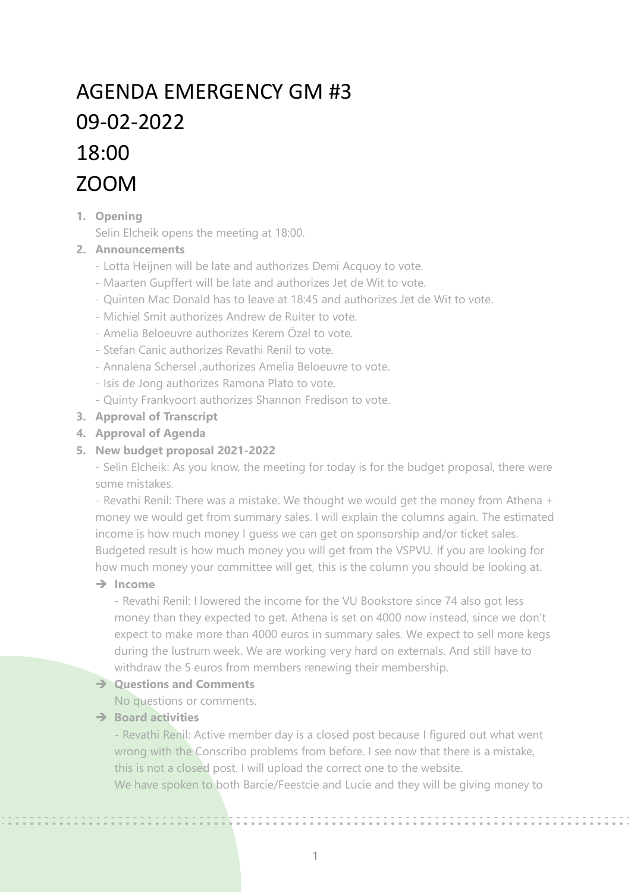# AGENDA EMERGENCY GM #3 09-02-2022 18:00 ZOOM

# **1. Opening**

Selin Elcheik opens the meeting at 18:00.

# **2. Announcements**

- Lotta Heijnen will be late and authorizes Demi Acquoy to vote.
- Maarten Gupffert will be late and authorizes Jet de Wit to vote.
- Quinten Mac Donald has to leave at 18:45 and authorizes Jet de Wit to vote.
- Michiel Smit authorizes Andrew de Ruiter to vote.
- Amelia Beloeuvre authorizes Kerem Özel to vote.
- Stefan Canic authorizes Revathi Renil to vote.
- Annalena Schersel ,authorizes Amelia Beloeuvre to vote.
- Isis de Jong authorizes Ramona Plato to vote.
- Quinty Frankvoort authorizes Shannon Fredison to vote.
- **3. Approval of Transcript**
- **4. Approval of Agenda**

## **5. New budget proposal 2021-2022**

- Selin Elcheik: As you know, the meeting for today is for the budget proposal, there were some mistakes.

- Revathi Renil: There was a mistake. We thought we would get the money from Athena + money we would get from summary sales. I will explain the columns again. The estimated income is how much money I guess we can get on sponsorship and/or ticket sales. Budgeted result is how much money you will get from the VSPVU. If you are looking for how much money your committee will get, this is the column you should be looking at.

# ➔ **Income**

- Revathi Renil: I lowered the income for the VU Bookstore since 74 also got less money than they expected to get. Athena is set on 4000 now instead, since we don't expect to make more than 4000 euros in summary sales. We expect to sell more kegs during the lustrum week. We are working very hard on externals. And still have to withdraw the 5 euros from members renewing their membership.

# ➔ **Questions and Comments**

No questions or comments.

# ➔ **Board activities**

- Revathi Renil: Active member day is a closed post because I figured out what went wrong with the Conscribo problems from before. I see now that there is a mistake, this is not a closed post. I will upload the correct one to the website. We have spoken to both Barcie/Feestcie and Lucie and they will be giving money to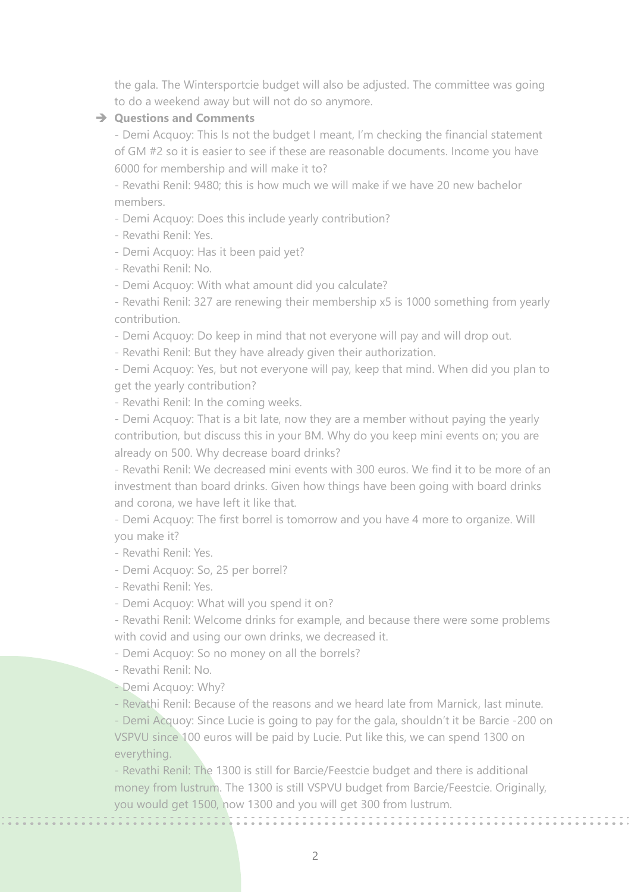the gala. The Wintersportcie budget will also be adjusted. The committee was going to do a weekend away but will not do so anymore.

#### ➔ **Questions and Comments**

- Demi Acquoy: This Is not the budget I meant, I'm checking the financial statement of GM #2 so it is easier to see if these are reasonable documents. Income you have 6000 for membership and will make it to?

- Revathi Renil: 9480; this is how much we will make if we have 20 new bachelor members.

- Demi Acquoy: Does this include yearly contribution?

- Revathi Renil: Yes.

- Demi Acquoy: Has it been paid yet?

- Revathi Renil: No.

- Demi Acquoy: With what amount did you calculate?

- Revathi Renil: 327 are renewing their membership x5 is 1000 something from yearly contribution.

- Demi Acquoy: Do keep in mind that not everyone will pay and will drop out.

- Revathi Renil: But they have already given their authorization.

- Demi Acquoy: Yes, but not everyone will pay, keep that mind. When did you plan to get the yearly contribution?

- Revathi Renil: In the coming weeks.

- Demi Acquoy: That is a bit late, now they are a member without paying the yearly contribution, but discuss this in your BM. Why do you keep mini events on; you are already on 500. Why decrease board drinks?

- Revathi Renil: We decreased mini events with 300 euros. We find it to be more of an investment than board drinks. Given how things have been going with board drinks and corona, we have left it like that.

- Demi Acquoy: The first borrel is tomorrow and you have 4 more to organize. Will you make it?

- Revathi Renil: Yes.

- Demi Acquoy: So, 25 per borrel?

- Revathi Renil: Yes.

- Demi Acquoy: What will you spend it on?

- Revathi Renil: Welcome drinks for example, and because there were some problems with covid and using our own drinks, we decreased it.

- Demi Acquoy: So no money on all the borrels?

- Revathi Renil: No.

- Demi Acquoy: Why?

- Revathi Renil: Because of the reasons and we heard late from Marnick, last minute.

- Demi Acquoy: Since Lucie is going to pay for the gala, shouldn't it be Barcie -200 on VSPVU since 100 euros will be paid by Lucie. Put like this, we can spend 1300 on everything.

- Revathi Renil: The 1300 is still for Barcie/Feestcie budget and there is additional money from lustrum. The 1300 is still VSPVU budget from Barcie/Feestcie. Originally, you would get 1500, now 1300 and you will get 300 from lustrum.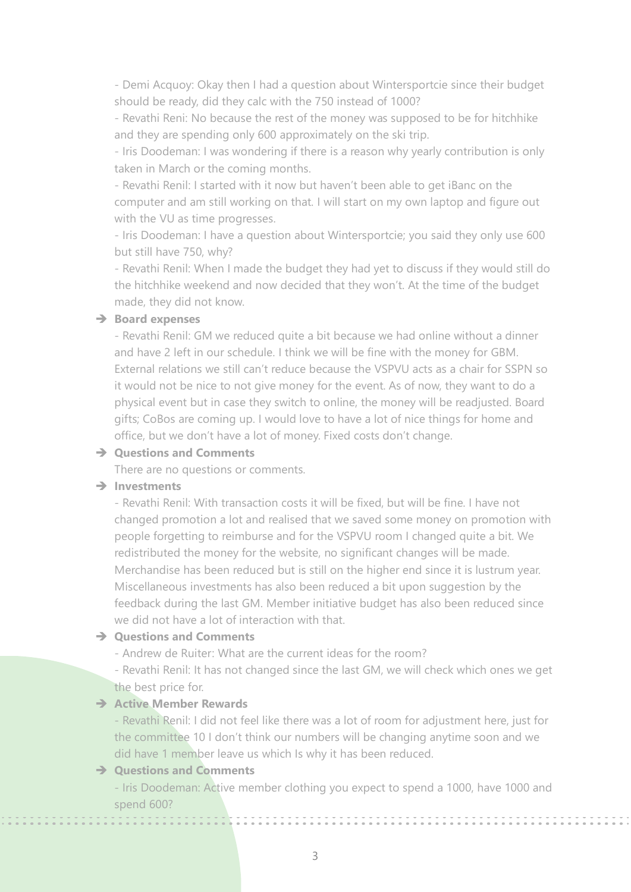- Demi Acquoy: Okay then I had a question about Wintersportcie since their budget should be ready, did they calc with the 750 instead of 1000?

- Revathi Reni: No because the rest of the money was supposed to be for hitchhike and they are spending only 600 approximately on the ski trip.

- Iris Doodeman: I was wondering if there is a reason why yearly contribution is only taken in March or the coming months.

- Revathi Renil: I started with it now but haven't been able to get iBanc on the computer and am still working on that. I will start on my own laptop and figure out with the VU as time progresses.

- Iris Doodeman: I have a question about Wintersportcie; you said they only use 600 but still have 750, why?

- Revathi Renil: When I made the budget they had yet to discuss if they would still do the hitchhike weekend and now decided that they won't. At the time of the budget made, they did not know.

## ➔ **Board expenses**

- Revathi Renil: GM we reduced quite a bit because we had online without a dinner and have 2 left in our schedule. I think we will be fine with the money for GBM. External relations we still can't reduce because the VSPVU acts as a chair for SSPN so it would not be nice to not give money for the event. As of now, they want to do a physical event but in case they switch to online, the money will be readjusted. Board gifts; CoBos are coming up. I would love to have a lot of nice things for home and office, but we don't have a lot of money. Fixed costs don't change.

### ➔ **Questions and Comments**

There are no questions or comments.

## ➔ **Investments**

- Revathi Renil: With transaction costs it will be fixed, but will be fine. I have not changed promotion a lot and realised that we saved some money on promotion with people forgetting to reimburse and for the VSPVU room I changed quite a bit. We redistributed the money for the website, no significant changes will be made. Merchandise has been reduced but is still on the higher end since it is lustrum year. Miscellaneous investments has also been reduced a bit upon suggestion by the feedback during the last GM. Member initiative budget has also been reduced since we did not have a lot of interaction with that.

## ➔ **Questions and Comments**

- Andrew de Ruiter: What are the current ideas for the room?

- Revathi Renil: It has not changed since the last GM, we will check which ones we get the best price for.

### ➔ **Active Member Rewards**

- Revathi Renil: I did not feel like there was a lot of room for adjustment here, just for the committee 10 I don't think our numbers will be changing anytime soon and we did have 1 member leave us which Is why it has been reduced.

#### ➔ **Questions and Comments**

------------

- Iris Doodeman: Active member clothing you expect to spend a 1000, have 1000 and spend 600?